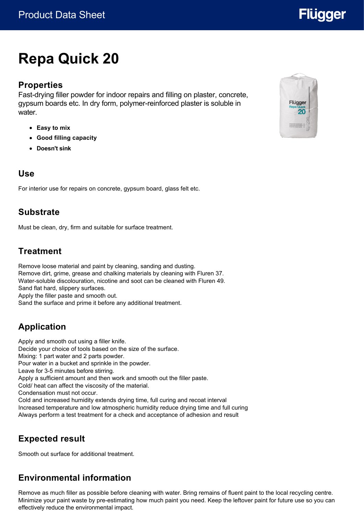# **Repa Quick 20**

#### **Properties**

Fast-drying filler powder for indoor repairs and filling on plaster, concrete, gypsum boards etc. In dry form, polymer-reinforced plaster is soluble in water

- **Easy to mix**
- **Good filling capacity**
- **Doesn't sink**

#### **Use**

For interior use for repairs on concrete, gypsum board, glass felt etc.

#### **Substrate**

Must be clean, dry, firm and suitable for surface treatment.

### **Treatment**

Remove loose material and paint by cleaning, sanding and dusting. Remove dirt, grime, grease and chalking materials by cleaning with Fluren 37. Water-soluble discolouration, nicotine and soot can be cleaned with Fluren 49. Sand flat hard, slippery surfaces. Apply the filler paste and smooth out. Sand the surface and prime it before any additional treatment.

## **Application**

Apply and smooth out using a filler knife. Decide your choice of tools based on the size of the surface. Mixing: 1 part water and 2 parts powder. Pour water in a bucket and sprinkle in the powder. Leave for 3-5 minutes before stirring. Apply a sufficient amount and then work and smooth out the filler paste. Cold/ heat can affect the viscosity of the material. Condensation must not occur. Cold and increased humidity extends drying time, full curing and recoat interval Increased temperature and low atmospheric humidity reduce drying time and full curing Always perform a test treatment for a check and acceptance of adhesion and result

## **Expected result**

Smooth out surface for additional treatment.

### **Environmental information**

Remove as much filler as possible before cleaning with water. Bring remains of fluent paint to the local recycling centre. Minimize your paint waste by pre-estimating how much paint you need. Keep the leftover paint for future use so you can effectively reduce the environmental impact.



# **Flügger**